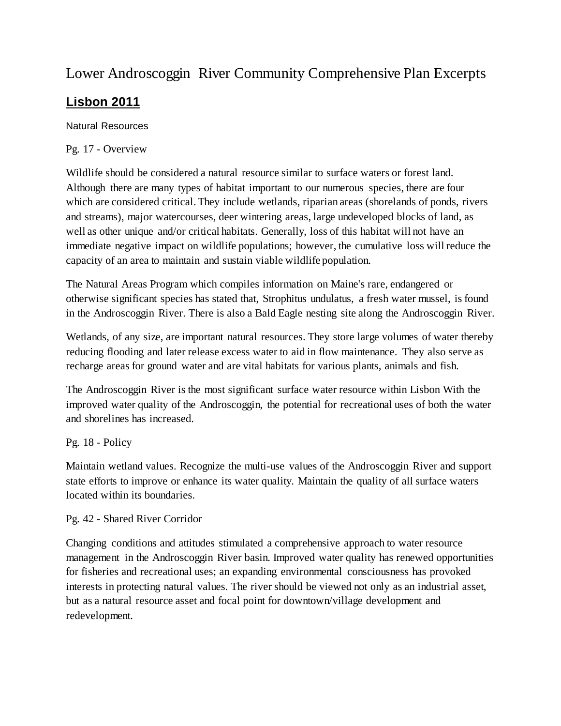# Lower Androscoggin River Community Comprehensive Plan Excerpts

## **Lisbon 2011**

Natural Resources

Pg. 17 - Overview

Wildlife should be considered a natural resource similar to surface waters or forest land. Although there are many types of habitat important to our numerous species, there are four which are considered critical. They include wetlands, riparian areas (shorelands of ponds, rivers and streams), major watercourses, deer wintering areas, large undeveloped blocks of land, as well as other unique and/or critical habitats. Generally, loss of this habitat will not have an immediate negative impact on wildlife populations; however, the cumulative loss will reduce the capacity of an area to maintain and sustain viable wildlife population.

The Natural Areas Program which compiles information on Maine's rare, endangered or otherwise significant species has stated that, Strophitus undulatus, a fresh water mussel, is found in the Androscoggin River. There is also a Bald Eagle nesting site along the Androscoggin River.

Wetlands, of any size, are important natural resources. They store large volumes of water thereby reducing flooding and later release excess water to aid in flow maintenance. They also serve as recharge areas for ground water and are vital habitats for various plants, animals and fish.

The Androscoggin River is the most significant surface water resource within Lisbon With the improved water quality of the Androscoggin, the potential for recreational uses of both the water and shorelines has increased.

Pg. 18 - Policy

Maintain wetland values. Recognize the multi-use values of the Androscoggin River and support state efforts to improve or enhance its water quality. Maintain the quality of all surface waters located within its boundaries.

Pg. 42 - Shared River Corridor

Changing conditions and attitudes stimulated a comprehensive approach to water resource management in the Androscoggin River basin. Improved water quality has renewed opportunities for fisheries and recreational uses; an expanding environmental consciousness has provoked interests in protecting natural values. The river should be viewed not only as an industrial asset, but as a natural resource asset and focal point for downtown/village development and redevelopment.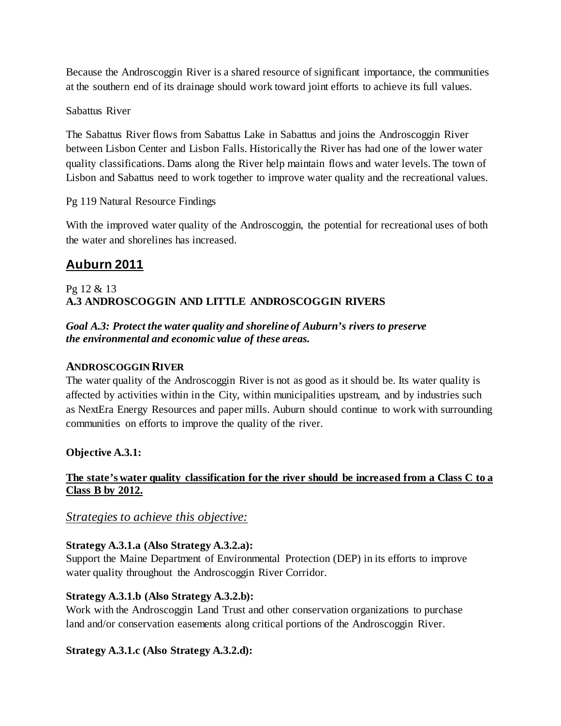Because the Androscoggin River is a shared resource of significant importance, the communities at the southern end of its drainage should work toward joint efforts to achieve its full values.

### Sabattus River

The Sabattus River flows from Sabattus Lake in Sabattus and joins the Androscoggin River between Lisbon Center and Lisbon Falls. Historically the River has had one of the lower water quality classifications. Dams along the River help maintain flows and water levels. The town of Lisbon and Sabattus need to work together to improve water quality and the recreational values.

Pg 119 Natural Resource Findings

With the improved water quality of the Androscoggin, the potential for recreational uses of both the water and shorelines has increased.

## **Auburn 2011**

### Pg 12 & 13 **A.3 ANDROSCOGGIN AND LITTLE ANDROSCOGGIN RIVERS**

### *Goal A.3: Protect the water quality and shoreline of Auburn's rivers to preserve the environmental and economic value of these areas.*

### **ANDROSCOGGIN RIVER**

The water quality of the Androscoggin River is not as good as it should be. Its water quality is affected by activities within in the City, within municipalities upstream, and by industries such as NextEra Energy Resources and paper mills. Auburn should continue to work with surrounding communities on efforts to improve the quality of the river.

## **Objective A.3.1:**

### **The state's water quality classification for the river should be increased from a Class C to a Class B by 2012.**

## *Strategies to achieve this objective:*

#### **Strategy A.3.1.a (Also Strategy A.3.2.a):**

Support the Maine Department of Environmental Protection (DEP) in its efforts to improve water quality throughout the Androscoggin River Corridor.

#### **Strategy A.3.1.b (Also Strategy A.3.2.b):**

Work with the Androscoggin Land Trust and other conservation organizations to purchase land and/or conservation easements along critical portions of the Androscoggin River.

## **Strategy A.3.1.c (Also Strategy A.3.2.d):**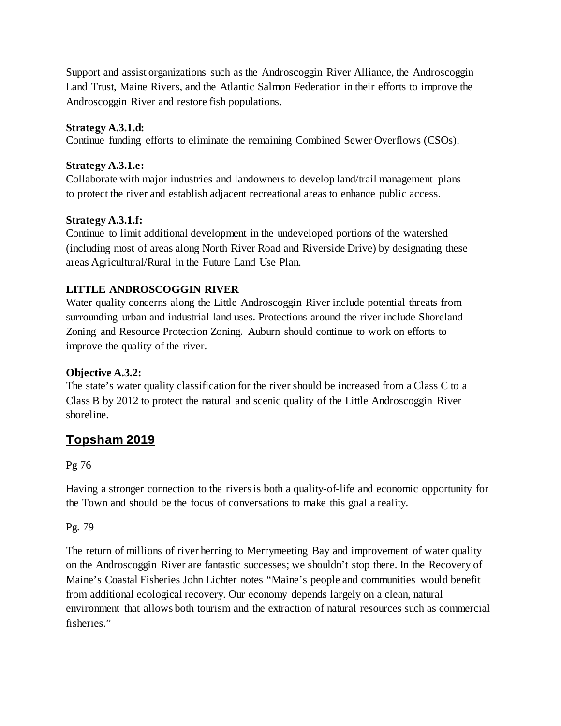Support and assist organizations such as the Androscoggin River Alliance, the Androscoggin Land Trust, Maine Rivers, and the Atlantic Salmon Federation in their efforts to improve the Androscoggin River and restore fish populations.

#### **Strategy A.3.1.d:**

Continue funding efforts to eliminate the remaining Combined Sewer Overflows (CSOs).

### **Strategy A.3.1.e:**

Collaborate with major industries and landowners to develop land/trail management plans to protect the river and establish adjacent recreational areas to enhance public access.

## **Strategy A.3.1.f:**

Continue to limit additional development in the undeveloped portions of the watershed (including most of areas along North River Road and Riverside Drive) by designating these areas Agricultural/Rural in the Future Land Use Plan.

## **LITTLE ANDROSCOGGIN RIVER**

Water quality concerns along the Little Androscoggin River include potential threats from surrounding urban and industrial land uses. Protections around the river include Shoreland Zoning and Resource Protection Zoning. Auburn should continue to work on efforts to improve the quality of the river.

## **Objective A.3.2:**

The state's water quality classification for the river should be increased from a Class C to a Class B by 2012 to protect the natural and scenic quality of the Little Androscoggin River shoreline.

## **Topsham 2019**

#### Pg 76

Having a stronger connection to the rivers is both a quality-of-life and economic opportunity for the Town and should be the focus of conversations to make this goal a reality.

## Pg. 79

The return of millions of river herring to Merrymeeting Bay and improvement of water quality on the Androscoggin River are fantastic successes; we shouldn't stop there. In the Recovery of Maine's Coastal Fisheries John Lichter notes "Maine's people and communities would benefit from additional ecological recovery. Our economy depends largely on a clean, natural environment that allows both tourism and the extraction of natural resources such as commercial fisheries."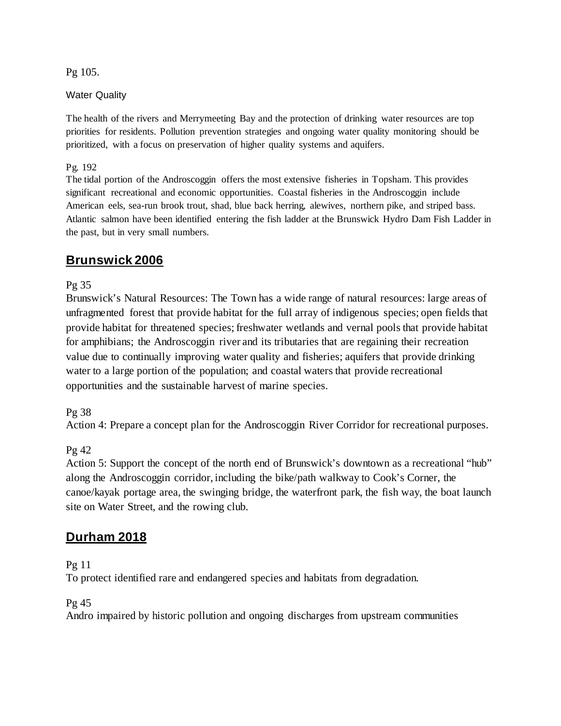Pg 105.

#### Water Quality

The health of the rivers and Merrymeeting Bay and the protection of drinking water resources are top priorities for residents. Pollution prevention strategies and ongoing water quality monitoring should be prioritized, with a focus on preservation of higher quality systems and aquifers.

#### Pg. 192

The tidal portion of the Androscoggin offers the most extensive fisheries in Topsham. This provides significant recreational and economic opportunities. Coastal fisheries in the Androscoggin include American eels, sea-run brook trout, shad, blue back herring, alewives, northern pike, and striped bass. Atlantic salmon have been identified entering the fish ladder at the Brunswick Hydro Dam Fish Ladder in the past, but in very small numbers.

## **Brunswick 2006**

Pg 35

Brunswick's Natural Resources: The Town has a wide range of natural resources: large areas of unfragmented forest that provide habitat for the full array of indigenous species; open fields that provide habitat for threatened species; freshwater wetlands and vernal pools that provide habitat for amphibians; the Androscoggin river and its tributaries that are regaining their recreation value due to continually improving water quality and fisheries; aquifers that provide drinking water to a large portion of the population; and coastal waters that provide recreational opportunities and the sustainable harvest of marine species.

#### Pg 38

Action 4: Prepare a concept plan for the Androscoggin River Corridor for recreational purposes.

#### Pg 42

Action 5: Support the concept of the north end of Brunswick's downtown as a recreational "hub" along the Androscoggin corridor, including the bike/path walkway to Cook's Corner, the canoe/kayak portage area, the swinging bridge, the waterfront park, the fish way, the boat launch site on Water Street, and the rowing club.

## **Durham 2018**

Pg 11

To protect identified rare and endangered species and habitats from degradation.

Pg 45

Andro impaired by historic pollution and ongoing discharges from upstream communities